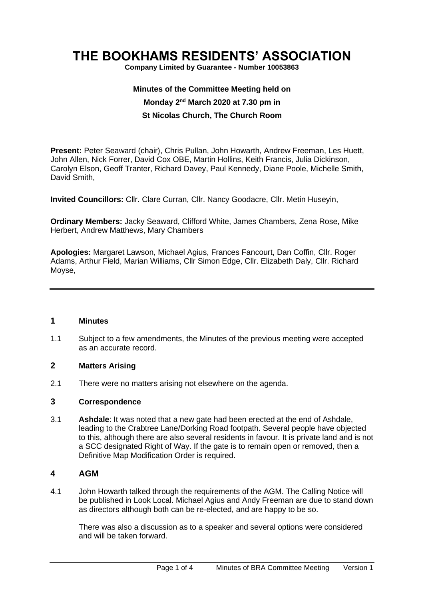# **THE BOOKHAMS RESIDENTS' ASSOCIATION**

**Company Limited by Guarantee - Number 10053863**

# **Minutes of the Committee Meeting held on Monday 2 nd March 2020 at 7.30 pm in St Nicolas Church, The Church Room**

**Present:** Peter Seaward (chair), Chris Pullan, John Howarth, Andrew Freeman, Les Huett, John Allen, Nick Forrer, David Cox OBE, Martin Hollins, Keith Francis, Julia Dickinson, Carolyn Elson, Geoff Tranter, Richard Davey, Paul Kennedy, Diane Poole, Michelle Smith, David Smith,

**Invited Councillors:** Cllr. Clare Curran, Cllr. Nancy Goodacre, Cllr. Metin Huseyin,

**Ordinary Members:** Jacky Seaward, Clifford White, James Chambers, Zena Rose, Mike Herbert, Andrew Matthews, Mary Chambers

**Apologies:** Margaret Lawson, Michael Agius, Frances Fancourt, Dan Coffin, Cllr. Roger Adams, Arthur Field, Marian Williams, Cllr Simon Edge, Cllr. Elizabeth Daly, Cllr. Richard Moyse,

#### **1 Minutes**

1.1 Subject to a few amendments, the Minutes of the previous meeting were accepted as an accurate record.

#### **2 Matters Arising**

2.1 There were no matters arising not elsewhere on the agenda.

#### **3 Correspondence**

3.1 **Ashdale**: It was noted that a new gate had been erected at the end of Ashdale, leading to the Crabtree Lane/Dorking Road footpath. Several people have objected to this, although there are also several residents in favour. It is private land and is not a SCC designated Right of Way. If the gate is to remain open or removed, then a Definitive Map Modification Order is required.

## **4 AGM**

4.1 John Howarth talked through the requirements of the AGM. The Calling Notice will be published in Look Local. Michael Agius and Andy Freeman are due to stand down as directors although both can be re-elected, and are happy to be so.

There was also a discussion as to a speaker and several options were considered and will be taken forward.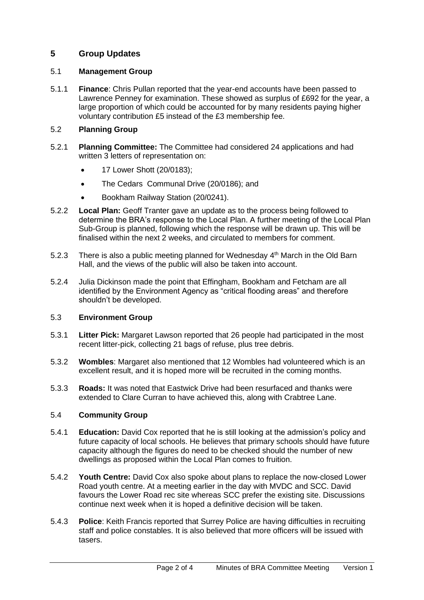# **5 Group Updates**

## 5.1 **Management Group**

5.1.1 **Finance**: Chris Pullan reported that the year-end accounts have been passed to Lawrence Penney for examination. These showed as surplus of £692 for the year, a large proportion of which could be accounted for by many residents paying higher voluntary contribution £5 instead of the £3 membership fee.

# 5.2 **Planning Group**

- 5.2.1 **Planning Committee:** The Committee had considered 24 applications and had written 3 letters of representation on:
	- 17 Lower Shott (20/0183);
	- The Cedars Communal Drive (20/0186); and
	- Bookham Railway Station (20/0241).
- 5.2.2 **Local Plan:** Geoff Tranter gave an update as to the process being followed to determine the BRA's response to the Local Plan. A further meeting of the Local Plan Sub-Group is planned, following which the response will be drawn up. This will be finalised within the next 2 weeks, and circulated to members for comment.
- 5.2.3 There is also a public meeting planned for Wednesday  $4<sup>th</sup>$  March in the Old Barn Hall, and the views of the public will also be taken into account.
- 5.2.4 Julia Dickinson made the point that Effingham, Bookham and Fetcham are all identified by the Environment Agency as "critical flooding areas" and therefore shouldn't be developed.

#### 5.3 **Environment Group**

- 5.3.1 **Litter Pick:** Margaret Lawson reported that 26 people had participated in the most recent litter-pick, collecting 21 bags of refuse, plus tree debris.
- 5.3.2 **Wombles**: Margaret also mentioned that 12 Wombles had volunteered which is an excellent result, and it is hoped more will be recruited in the coming months.
- 5.3.3 **Roads:** It was noted that Eastwick Drive had been resurfaced and thanks were extended to Clare Curran to have achieved this, along with Crabtree Lane.

# 5.4 **Community Group**

- 5.4.1 **Education:** David Cox reported that he is still looking at the admission's policy and future capacity of local schools. He believes that primary schools should have future capacity although the figures do need to be checked should the number of new dwellings as proposed within the Local Plan comes to fruition.
- 5.4.2 **Youth Centre:** David Cox also spoke about plans to replace the now-closed Lower Road youth centre. At a meeting earlier in the day with MVDC and SCC. David favours the Lower Road rec site whereas SCC prefer the existing site. Discussions continue next week when it is hoped a definitive decision will be taken.
- 5.4.3 **Police**: Keith Francis reported that Surrey Police are having difficulties in recruiting staff and police constables. It is also believed that more officers will be issued with tasers.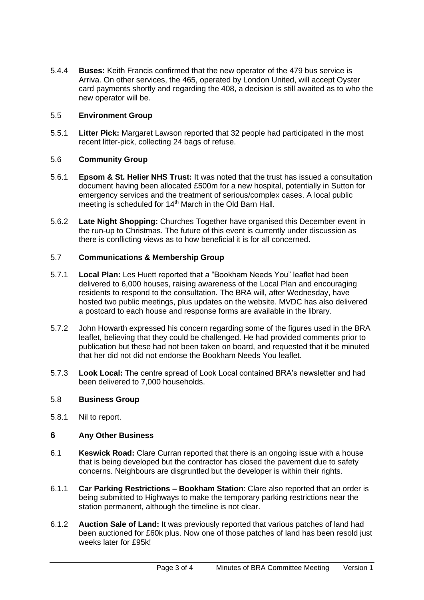5.4.4 **Buses:** Keith Francis confirmed that the new operator of the 479 bus service is Arriva. On other services, the 465, operated by London United, will accept Oyster card payments shortly and regarding the 408, a decision is still awaited as to who the new operator will be.

## 5.5 **Environment Group**

5.5.1 **Litter Pick:** Margaret Lawson reported that 32 people had participated in the most recent litter-pick, collecting 24 bags of refuse.

## 5.6 **Community Group**

- 5.6.1 **Epsom & St. Helier NHS Trust:** It was noted that the trust has issued a consultation document having been allocated £500m for a new hospital, potentially in Sutton for emergency services and the treatment of serious/complex cases. A local public meeting is scheduled for 14<sup>th</sup> March in the Old Barn Hall.
- 5.6.2 **Late Night Shopping:** Churches Together have organised this December event in the run-up to Christmas. The future of this event is currently under discussion as there is conflicting views as to how beneficial it is for all concerned.

## 5.7 **Communications & Membership Group**

- 5.7.1 **Local Plan:** Les Huett reported that a "Bookham Needs You" leaflet had been delivered to 6,000 houses, raising awareness of the Local Plan and encouraging residents to respond to the consultation. The BRA will, after Wednesday, have hosted two public meetings, plus updates on the website. MVDC has also delivered a postcard to each house and response forms are available in the library.
- 5.7.2 John Howarth expressed his concern regarding some of the figures used in the BRA leaflet, believing that they could be challenged. He had provided comments prior to publication but these had not been taken on board, and requested that it be minuted that her did not did not endorse the Bookham Needs You leaflet.
- 5.7.3 **Look Local:** The centre spread of Look Local contained BRA's newsletter and had been delivered to 7,000 households.

#### 5.8 **Business Group**

5.8.1 Nil to report.

# **6 Any Other Business**

- 6.1 **Keswick Road:** Clare Curran reported that there is an ongoing issue with a house that is being developed but the contractor has closed the pavement due to safety concerns. Neighbours are disgruntled but the developer is within their rights.
- 6.1.1 **Car Parking Restrictions – Bookham Station**: Clare also reported that an order is being submitted to Highways to make the temporary parking restrictions near the station permanent, although the timeline is not clear.
- 6.1.2 **Auction Sale of Land:** It was previously reported that various patches of land had been auctioned for £60k plus. Now one of those patches of land has been resold just weeks later for £95k!